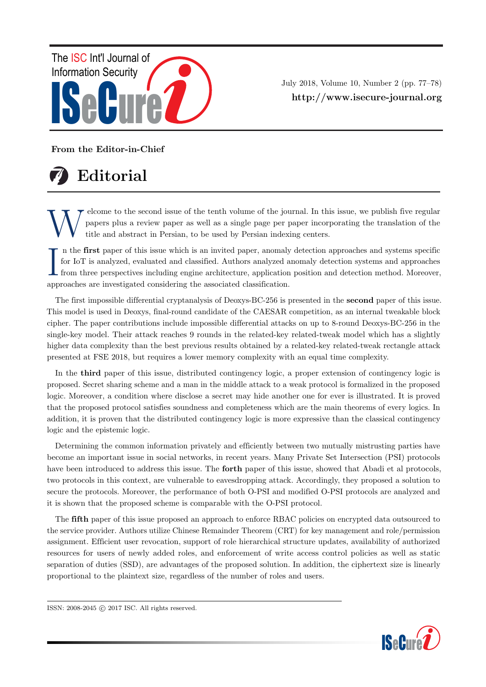

July 2018, Volume 10, Number 2 (pp. 77–78) http://www.isecure-journal.org

From the Editor-in-Chief



W elcome to the second issue of the tenth volume of the journal. In this issue, we publish five regular papers plus a review paper as well as a single page per paper incorporating the translation of the title and abstract in Persian, to be used by Persian indexing centers.

In the first paper of this issue which is an invited paper, anomaly for IoT is analyzed, evaluated and classified. Authors analyzed  $\varepsilon$  from three perspectives including engine architecture, application approaches are i n the first paper of this issue which is an invited paper, anomaly detection approaches and systems specific for IoT is analyzed, evaluated and classified. Authors analyzed anomaly detection systems and approaches from three perspectives including engine architecture, application position and detection method. Moreover,

The first impossible differential cryptanalysis of Deoxys-BC-256 is presented in the second paper of this issue. This model is used in Deoxys, final-round candidate of the CAESAR competition, as an internal tweakable block cipher. The paper contributions include impossible differential attacks on up to 8-round Deoxys-BC-256 in the single-key model. Their attack reaches 9 rounds in the related-key related-tweak model which has a slightly higher data complexity than the best previous results obtained by a related-key related-tweak rectangle attack presented at FSE 2018, but requires a lower memory complexity with an equal time complexity.

In the third paper of this issue, distributed contingency logic, a proper extension of contingency logic is proposed. Secret sharing scheme and a man in the middle attack to a weak protocol is formalized in the proposed logic. Moreover, a condition where disclose a secret may hide another one for ever is illustrated. It is proved that the proposed protocol satisfies soundness and completeness which are the main theorems of every logics. In addition, it is proven that the distributed contingency logic is more expressive than the classical contingency logic and the epistemic logic.

Determining the common information privately and efficiently between two mutually mistrusting parties have become an important issue in social networks, in recent years. Many Private Set Intersection (PSI) protocols have been introduced to address this issue. The **forth** paper of this issue, showed that Abadi et al protocols, two protocols in this context, are vulnerable to eavesdropping attack. Accordingly, they proposed a solution to secure the protocols. Moreover, the performance of both O-PSI and modified O-PSI protocols are analyzed and it is shown that the proposed scheme is comparable with the O-PSI protocol.

The fifth paper of this issue proposed an approach to enforce RBAC policies on encrypted data outsourced to the service provider. Authors utilize Chinese Remainder Theorem (CRT) for key management and role/permission assignment. Efficient user revocation, support of role hierarchical structure updates, availability of authorized resources for users of newly added roles, and enforcement of write access control policies as well as static separation of duties (SSD), are advantages of the proposed solution. In addition, the ciphertext size is linearly proportional to the plaintext size, regardless of the number of roles and users.

ISSN: 2008-2045 © 2017 ISC. All rights reserved.